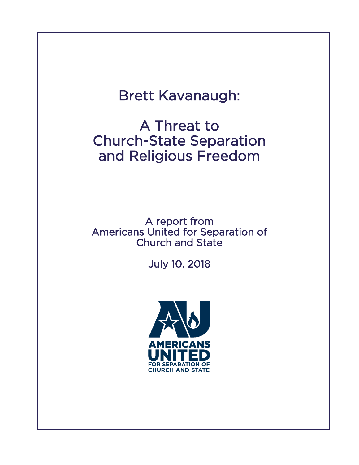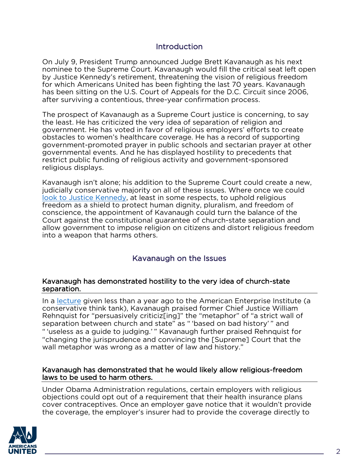## **Introduction**

On July 9, President Trump announced Judge Brett Kavanaugh as his next nominee to the Supreme Court. Kavanaugh would fill the critical seat left open by Justice Kennedy's retirement, threatening the vision of religious freedom for which Americans United has been fighting the last 70 years. Kavanaugh has been sitting on the U.S. Court of Appeals for the D.C. Circuit since 2006, after surviving a contentious, three-year confirmation process.

The prospect of Kavanaugh as a Supreme Court justice is concerning, to say the least. He has criticized the very idea of separation of religion and government. He has voted in favor of religious employers' efforts to create obstacles to women's healthcare coverage. He has a record of supporting government-promoted prayer in public schools and sectarian prayer at other governmental events. And he has displayed hostility to precedents that restrict public funding of religious activity and government-sponsored religious displays.

Kavanaugh isn't alone; his addition to the Supreme Court could create a new, judicially conservative majority on all of these issues. Where once we could look to [Justice Kennedy,](https://www.au.org/blogs/wall-of-separation/justice-kennedy-a-mixed-bag-on-separation-of-church-and-state) at least in some respects, to uphold religious freedom as a shield to protect human dignity, pluralism, and freedom of conscience, the appointment of Kavanaugh could turn the balance of the Court against the constitutional guarantee of church-state separation and allow government to impose religion on citizens and distort religious freedom into a weapon that harms others.

# Kavanaugh on the Issues

#### Kavanaugh has demonstrated hostility to the very idea of church-state separation.

In a [lecture](http://www.aei.org/wp-content/uploads/2017/12/From-the-Bench.pdf) given less than a year ago to the American Enterprise Institute (a conservative think tank), Kavanaugh praised former Chief Justice William Rehnquist for "persuasively criticiz[ing]" the "metaphor" of "a strict wall of separation between church and state" as " 'based on bad history' " and " 'useless as a guide to judging.' " Kavanaugh further praised Rehnquist for "changing the jurisprudence and convincing the [Supreme] Court that the wall metaphor was wrong as a matter of law and history."

#### Kavanaugh has demonstrated that he would likely allow religious-freedom laws to be used to harm others.

Under Obama Administration regulations, certain employers with religious objections could opt out of a requirement that their health insurance plans cover contraceptives. Once an employer gave notice that it wouldn't provide the coverage, the employer's insurer had to provide the coverage directly to

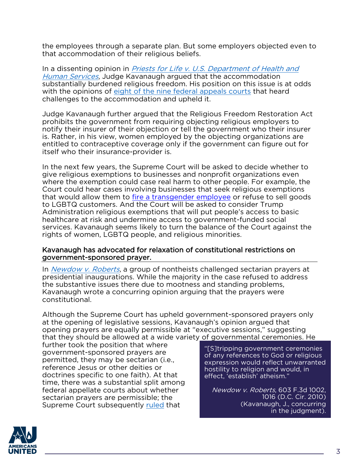the employees through a separate plan. But some employers objected even to that accommodation of their religious beliefs.

In a dissenting opinion in *Priests for Life v. U.S. Department of Health and* [Human Services](https://caselaw.findlaw.com/us-dc-circuit/1714435.html), Judge Kavanaugh argued that the accommodation substantially burdened religious freedom. His position on this issue is at odds with the opinions of eight of [the nine federal appeals courts](http://www.protectthyneighbor.org/posts/2016/3/17/9pc6u8dhubul165dtkdaklcgmbl3ed) that heard challenges to the accommodation and upheld it.

Judge Kavanaugh further argued that the Religious Freedom Restoration Act prohibits the government from requiring objecting religious employers to notify their insurer of their objection or tell the government who their insurer is. Rather, in his view, women employed by the objecting organizations are entitled to contraceptive coverage only if the government can figure out for itself who their insurance-provider is.

In the next few years, the Supreme Court will be asked to decide whether to give religious exemptions to businesses and nonprofit organizations even where the exemption could case real harm to other people. For example, the Court could hear cases involving businesses that seek religious exemptions that would allow them to [fire a transgender employee](http://www.protectthyneighbor.org/transgender-employment-rights) or refuse to sell goods to LGBTQ customers. And the Court will be asked to consider Trump Administration religious exemptions that will put people's access to basic healthcare at risk and undermine access to government-funded social services. Kavanaugh seems likely to turn the balance of the Court against the rights of women, LGBTQ people, and religious minorities.

#### Kavanaugh has advocated for relaxation of constitutional restrictions on government-sponsored prayer.

In *[Newdow v. Roberts](https://caselaw.findlaw.com/us-dc-circuit/1523754.html)*, a group of nontheists challenged sectarian prayers at presidential inaugurations. While the majority in the case refused to address the substantive issues there due to mootness and standing problems, Kavanaugh wrote a concurring opinion arguing that the prayers were constitutional.

Although the Supreme Court has upheld government-sponsored prayers only at the opening of legislative sessions, Kavanaugh's opinion argued that opening prayers are equally permissible at "executive sessions," suggesting that they should be allowed at a wide variety of governmental ceremonies. He

further took the position that where government-sponsored prayers are permitted, they may be sectarian (i.e., reference Jesus or other deities or doctrines specific to one faith). At that time, there was a substantial split among federal appellate courts about whether sectarian prayers are permissible; the Supreme Court subsequently [ruled](https://www.supremecourt.gov/opinions/13pdf/12-696_bpm1.pdf) that

"[S]tripping government ceremonies of any references to God or religious expression would reflect unwarranted hostility to religion and would, in effect, 'establish' atheism."

Newdow v. Roberts, 603 F.3d 1002, 1016 (D.C. Cir. 2010) (Kavanaugh, J., concurring in the judgment).

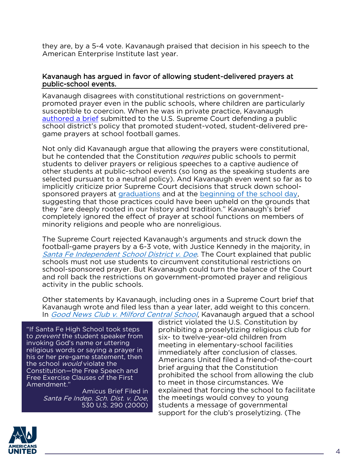they are, by a 5-4 vote. Kavanaugh praised that decision in his speech to the American Enterprise Institute last year.

#### Kavanaugh has argued in favor of allowing student-delivered prayers at public-school events.

Kavanaugh disagrees with constitutional restrictions on governmentpromoted prayer even in the public schools, where children are particularly susceptible to coercion. When he was in private practice, Kavanaugh [authored a brief](https://www.au.org/sites/default/files/2018-07/Santa%20Fe%20Independent%20School%20Dist%20v%20Doe%20amicus%20brief.pdf) submitted to the U.S. Supreme Court defending a public school district's policy that promoted student-voted, student-delivered pregame prayers at school football games.

Not only did Kavanaugh argue that allowing the prayers were constitutional, but he contended that the Constitution *requires* public schools to permit students to deliver prayers or religious speeches to a captive audience of other students at public-school events (so long as the speaking students are selected pursuant to a neutral policy). And Kavanaugh even went so far as to implicitly criticize prior Supreme Court decisions that struck down schoolsponsored prayers at [graduations](https://supreme.justia.com/cases/federal/us/505/577/case.html) and at the [beginning of the school day,](https://supreme.justia.com/cases/federal/us/370/421/case.html) suggesting that those practices could have been upheld on the grounds that they "are deeply rooted in our history and tradition." Kavanaugh's brief completely ignored the effect of prayer at school functions on members of minority religions and people who are nonreligious.

The Supreme Court rejected Kavanaugh's arguments and struck down the football-game prayers by a 6-3 vote, with Justice Kennedy in the majority, in [Santa Fe Independent School District v. Doe](https://supreme.justia.com/cases/federal/us/530/290/case.html). The Court explained that public schools must not use students to circumvent constitutional restrictions on school-sponsored prayer. But Kavanaugh could turn the balance of the Court and roll back the restrictions on government-promoted prayer and religious activity in the public schools.

Other statements by Kavanaugh, including ones in a Supreme Court brief that Kavanaugh wrote and filed less than a year later, add weight to this concern. In [Good News Club v. Milford Central School](https://www.findlawimages.com/efile/supreme/briefs/99-2036/99-2036fo7.pdf), Kavanaugh argued that a school

"If Santa Fe High School took steps to *prevent* the student speaker from invoking God's name or uttering religious words or saying a prayer in his or her pre-game statement, then the school *would* violate the Constitution—the Free Speech and Free Exercise Clauses of the First Amendment."

> Amicus Brief Filed in Santa Fe Indep. Sch. Dist. v. Doe, 530 U.S. 290 (2000)

district violated the U.S. Constitution by prohibiting a proselytizing religious club for six- to twelve-year-old children from meeting in elementary-school facilities immediately after conclusion of classes. Americans United filed a friend-of-the-court brief arguing that the Constitution prohibited the school from allowing the club to meet in those circumstances. We explained that forcing the school to facilitate the meetings would convey to young students a message of governmental support for the club's proselytizing. (The

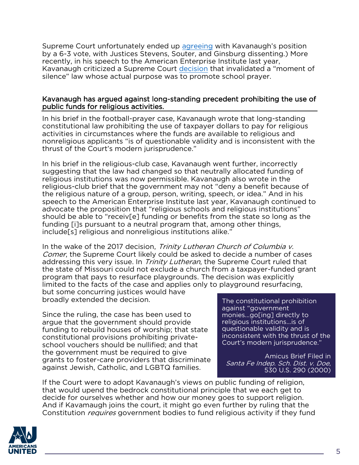Supreme Court unfortunately ended up [agreeing](https://supreme.justia.com/cases/federal/us/533/98/case.html) with Kavanaugh's position by a 6-3 vote, with Justices Stevens, Souter, and Ginsburg dissenting.) More recently, in his speech to the American Enterprise Institute last year, Kavanaugh criticized a Supreme Court [decision](https://supreme.justia.com/cases/federal/us/472/38/case.html) that invalidated a "moment of silence" law whose actual purpose was to promote school prayer.

#### Kavanaugh has argued against long-standing precedent prohibiting the use of public funds for religious activities.

In his brief in the football-prayer case, Kavanaugh wrote that long-standing constitutional law prohibiting the use of taxpayer dollars to pay for religious activities in circumstances where the funds are available to religious and nonreligious applicants "is of questionable validity and is inconsistent with the thrust of the Court's modern jurisprudence."

In his brief in the religious-club case, Kavanaugh went further, incorrectly suggesting that the law had changed so that neutrally allocated funding of religious institutions was now permissible. Kavanaugh also wrote in the religious-club brief that the government may not "deny a benefit because of the religious nature of a group, person, writing, speech, or idea." And in his speech to the American Enterprise Institute last year, Kavanaugh continued to advocate the proposition that "religious schools and religious institutions" should be able to "receiv[e] funding or benefits from the state so long as the funding [i]s pursuant to a neutral program that, among other things, include[s] religious and nonreligious institutions alike."

In the wake of the 2017 decision, Trinity Lutheran Church of Columbia v. Comer, the Supreme Court likely could be asked to decide a number of cases addressing this very issue. In *Trinity Lutheran*, the Supreme Court ruled that the state of Missouri could not exclude a church from a taxpayer-funded grant program that pays to resurface playgrounds. The decision was explicitly limited to the facts of the case and applies only to playground resurfacing,

but some concurring justices would have broadly extended the decision.

Since the ruling, the case has been used to argue that the government should provide funding to rebuild houses of worship; that state constitutional provisions prohibiting privateschool vouchers should be nullified; and that the government must be required to give grants to foster-care providers that discriminate against Jewish, Catholic, and LGBTQ families.

The constitutional prohibition against "government monies...go[ing] directly to religious institutions...is of questionable validity and is inconsistent with the thrust of the Court's modern jurisprudence."

Amicus Brief Filed in Santa Fe Indep. Sch. Dist. v. Doe, 530 U.S. 290 (2000)

If the Court were to adopt Kavanaugh's views on public funding of religion, that would upend the bedrock constitutional principle that we each get to decide for ourselves whether and how our money goes to support religion. And if Kavamaugh joins the court, it might go even further by ruling that the Constitution *requires* government bodies to fund religious activity if they fund